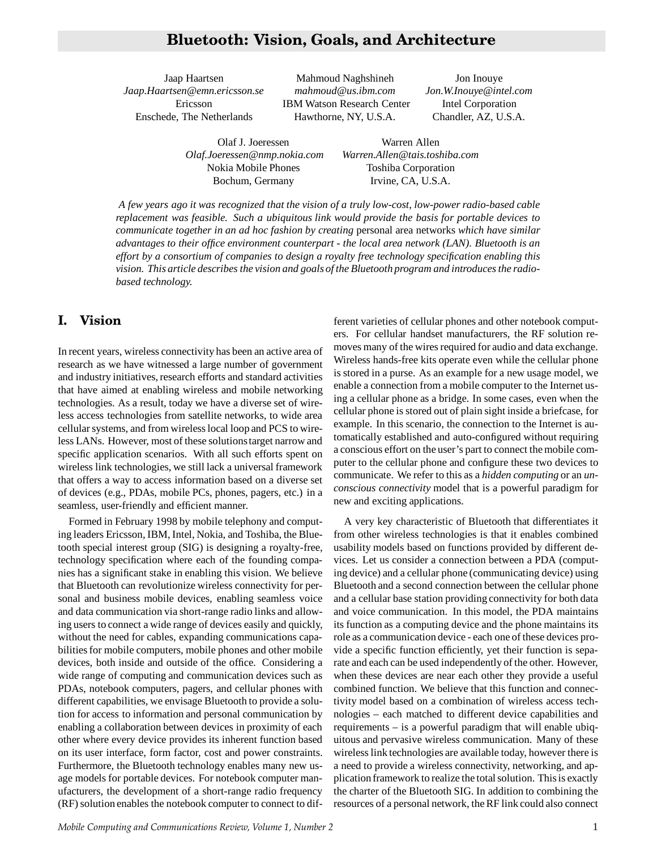# **Bluetooth: Vision, Goals, and Architecture**

*Jaap.Haartsen@emn.ericsson.se mahmoud@us.ibm.com Jon.W.Inouye@intel.com* Enschede, The Netherlands Hawthorne, NY, U.S.A. Chandler, AZ, U.S.A.

Jaap Haartsen Mahmoud Naghshineh Jon Inouye Ericsson IBM Watson Research Center Intel Corporation

Olaf J. Joeressen Warren Allen *Olaf.Joeressen@nmp.nokia.com Warren.Allen@tais.toshiba.com* Nokia Mobile Phones Toshiba Corporation Bochum, Germany Irvine, CA, U.S.A.

*A few years ago it was recognized that the vision of a truly low-cost, low-power radio-based cable replacement was feasible. Such a ubiquitous link would provide the basis for portable devices to communicate together in an ad hoc fashion by creating* personal area networks *which have similar advantages to their office environment counterpart - the local area network (LAN). Bluetooth is an effort by a consortium of companies to design a royalty free technology specification enabling this vision. This article describes the vision and goals of the Bluetooth program and introduces the radiobased technology.*

## **I. Vision**

In recent years, wireless connectivity has been an active area of research as we have witnessed a large number of government and industry initiatives, research efforts and standard activities that have aimed at enabling wireless and mobile networking technologies. As a result, today we have a diverse set of wireless access technologies from satellite networks, to wide area cellular systems, and from wireless local loop and PCS to wireless LANs. However, most of these solutionstarget narrow and specific application scenarios. With all such efforts spent on wireless link technologies, we still lack a universal framework that offers a way to access information based on a diverse set of devices (e.g., PDAs, mobile PCs, phones, pagers, etc.) in a seamless, user-friendly and efficient manner.

Formed in February 1998 by mobile telephony and computing leaders Ericsson, IBM, Intel, Nokia, and Toshiba, the Bluetooth special interest group (SIG) is designing a royalty-free, technology specification where each of the founding companies has a significant stake in enabling this vision. We believe that Bluetooth can revolutionize wireless connectivity for personal and business mobile devices, enabling seamless voice and data communication via short-range radio links and allowing users to connect a wide range of devices easily and quickly, without the need for cables, expanding communications capabilities for mobile computers, mobile phones and other mobile devices, both inside and outside of the office. Considering a wide range of computing and communication devices such as PDAs, notebook computers, pagers, and cellular phones with different capabilities, we envisage Bluetooth to provide a solution for access to information and personal communication by enabling a collaboration between devices in proximity of each other where every device provides its inherent function based on its user interface, form factor, cost and power constraints. Furthermore, the Bluetooth technology enables many new usage models for portable devices. For notebook computer manufacturers, the development of a short-range radio frequency (RF) solution enables the notebook computer to connect to different varieties of cellular phones and other notebook computers. For cellular handset manufacturers, the RF solution removes many of the wires required for audio and data exchange. Wireless hands-free kits operate even while the cellular phone is stored in a purse. As an example for a new usage model, we enable a connection from a mobile computer to the Internet using a cellular phone as a bridge. In some cases, even when the cellular phone is stored out of plain sight inside a briefcase, for example. In this scenario, the connection to the Internet is automatically established and auto-configured without requiring a conscious effort on the user's part to connect the mobile computer to the cellular phone and configure these two devices to communicate. We refer to this as a *hidden computing* or an *unconscious connectivity* model that is a powerful paradigm for new and exciting applications.

A very key characteristic of Bluetooth that differentiates it from other wireless technologies is that it enables combined usability models based on functions provided by different devices. Let us consider a connection between a PDA (computing device) and a cellular phone (communicating device) using Bluetooth and a second connection between the cellular phone and a cellular base station providing connectivity for both data and voice communication. In this model, the PDA maintains its function as a computing device and the phone maintains its role as a communication device - each one of these devices provide a specific function efficiently, yet their function is separate and each can be used independently of the other. However, when these devices are near each other they provide a useful combined function. We believe that this function and connectivity model based on a combination of wireless access technologies – each matched to different device capabilities and requirements – is a powerful paradigm that will enable ubiquitous and pervasive wireless communication. Many of these wireless link technologies are available today, however there is a need to provide a wireless connectivity, networking, and application framework to realize the total solution. This is exactly the charter of the Bluetooth SIG. In addition to combining the resources of a personal network, the RF link could also connect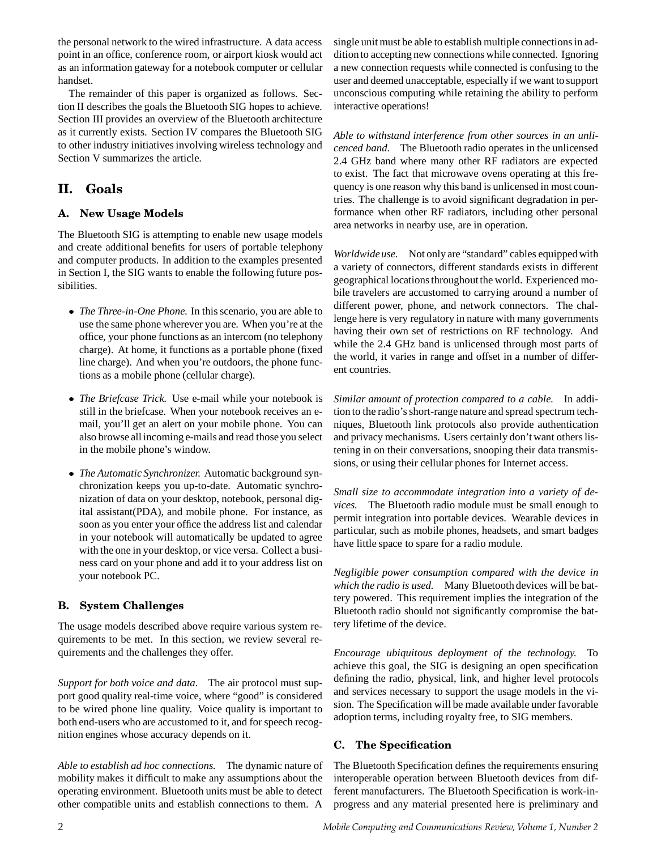the personal network to the wired infrastructure. A data access point in an office, conference room, or airport kiosk would act as an information gateway for a notebook computer or cellular handset.

The remainder of this paper is organized as follows. Section II describes the goals the Bluetooth SIG hopes to achieve. Section III provides an overview of the Bluetooth architecture as it currently exists. Section IV compares the Bluetooth SIG to other industry initiatives involving wireless technology and Section V summarizes the article.

# **II. Goals**

### **A. New Usage Models**

The Bluetooth SIG is attempting to enable new usage models and create additional benefits for users of portable telephony and computer products. In addition to the examples presented in Section I, the SIG wants to enable the following future possibilities.

- *The Three-in-One Phone.* In this scenario, you are able to use the same phone wherever you are. When you're at the office, your phone functions as an intercom (no telephony charge). At home, it functions as a portable phone (fixed line charge). And when you're outdoors, the phone functions as a mobile phone (cellular charge).
- *The Briefcase Trick.* Use e-mail while your notebook is still in the briefcase. When your notebook receives an email, you'll get an alert on your mobile phone. You can also browse all incoming e-mails and read those you select in the mobile phone's window.
- *The Automatic Synchronizer.* Automatic background synchronization keeps you up-to-date. Automatic synchronization of data on your desktop, notebook, personal digital assistant(PDA), and mobile phone. For instance, as soon as you enter your office the address list and calendar in your notebook will automatically be updated to agree with the one in your desktop, or vice versa. Collect a business card on your phone and add it to your address list on your notebook PC.

## **B. System Challenges**

The usage models described above require various system requirements to be met. In this section, we review several requirements and the challenges they offer.

*Support for both voice and data.* The air protocol must support good quality real-time voice, where "good" is considered to be wired phone line quality. Voice quality is important to both end-users who are accustomed to it, and for speech recognition engines whose accuracy depends on it.

*Able to establish ad hoc connections.* The dynamic nature of mobility makes it difficult to make any assumptions about the operating environment. Bluetooth units must be able to detect other compatible units and establish connections to them. A

single unit must be able to establish multiple connections in additionto accepting new connections while connected. Ignoring a new connection requests while connected is confusing to the user and deemed unacceptable, especially if we want to support unconscious computing while retaining the ability to perform interactive operations!

*Able to withstand interference from other sources in an unlicenced band.* The Bluetooth radio operates in the unlicensed 2.4 GHz band where many other RF radiators are expected to exist. The fact that microwave ovens operating at this frequency is one reason why this band is unlicensed in most countries. The challenge is to avoid significant degradation in performance when other RF radiators, including other personal area networks in nearby use, are in operation.

*Worldwideuse.* Not only are "standard" cables equipped with a variety of connectors, different standards exists in different geographical locationsthroughoutthe world. Experienced mobile travelers are accustomed to carrying around a number of different power, phone, and network connectors. The challenge here is very regulatory in nature with many governments having their own set of restrictions on RF technology. And while the 2.4 GHz band is unlicensed through most parts of the world, it varies in range and offset in a number of different countries.

*Similar amount of protection compared to a cable.* In addition to the radio's short-range nature and spread spectrum techniques, Bluetooth link protocols also provide authentication and privacy mechanisms. Users certainly don't want others listening in on their conversations, snooping their data transmissions, or using their cellular phones for Internet access.

*Small size to accommodate integration into a variety of devices.* The Bluetooth radio module must be small enough to permit integration into portable devices. Wearable devices in particular, such as mobile phones, headsets, and smart badges have little space to spare for a radio module.

*Negligible power consumption compared with the device in which the radio is used.* Many Bluetooth devices will be battery powered. This requirement implies the integration of the Bluetooth radio should not significantly compromise the battery lifetime of the device.

*Encourage ubiquitous deployment of the technology.* To achieve this goal, the SIG is designing an open specification defining the radio, physical, link, and higher level protocols and services necessary to support the usage models in the vision. The Specification will be made available under favorable adoption terms, including royalty free, to SIG members.

## **C. The Specification**

The Bluetooth Specification defines the requirements ensuring interoperable operation between Bluetooth devices from different manufacturers. The Bluetooth Specification is work-inprogress and any material presented here is preliminary and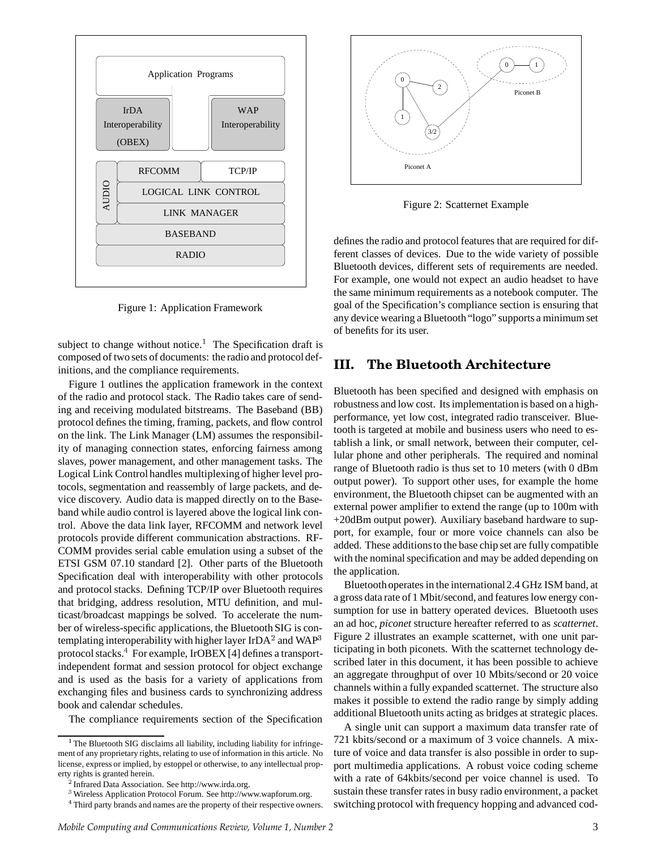

Figure 1: Application Framework

subject to change without notice.<sup>1</sup> The Specification draft is composed of two sets of documents: the radio and protocoldefinitions, and the compliance requirements.

Figure 1 outlines the application framework in the context of the radio and protocol stack. The Radio takes care of sending and receiving modulated bitstreams. The Baseband (BB) protocol defines the timing, framing, packets, and flow control on the link. The Link Manager (LM) assumes the responsibility of managing connection states, enforcing fairness among slaves, power management, and other management tasks. The Logical Link Control handles multiplexingof higher level protocols, segmentation and reassembly of large packets, and device discovery. Audio data is mapped directly on to the Baseband while audio control is layered above the logical link control. Above the data link layer, RFCOMM and network level protocols provide different communication abstractions. RF-COMM provides serial cable emulation using a subset of the ETSI GSM 07.10 standard [2]. Other parts of the Bluetooth Specification deal with interoperability with other protocols and protocol stacks. Defining TCP/IP over Bluetooth requires that bridging, address resolution, MTU definition, and multicast/broadcast mappings be solved. To accelerate the number of wireless-specific applications, the Bluetooth SIG is contemplating interoperability with higher layer IrDA<sup>2</sup> and WAP protocol stacks.<sup>4</sup> For example, IrOBEX [4] defines a transportindependent format and session protocol for object exchange and is used as the basis for a variety of applications from exchanging files and business cards to synchronizing address book and calendar schedules.

The compliance requirements section of the Specification



Figure 2: Scatternet Example

defines the radio and protocol features that are required for different classes of devices. Due to the wide variety of possible Bluetooth devices, different sets of requirements are needed. For example, one would not expect an audio headset to have the same minimum requirements as a notebook computer. The goal of the Specification's compliance section is ensuring that any device wearing a Bluetooth "logo" supports a minimum set of benefits for its user.

### **III. The Bluetooth Architecture**

Bluetooth has been specified and designed with emphasis on robustness and low cost. Itsimplementation is based on a highperformance, yet low cost, integrated radio transceiver. Bluetooth is targeted at mobile and business users who need to establish a link, or small network, between their computer, cellular phone and other peripherals. The required and nominal range of Bluetooth radio is thus set to 10 meters (with 0 dBm output power). To support other uses, for example the home environment, the Bluetooth chipset can be augmented with an external power amplifier to extend the range (up to 100m with +20dBm output power). Auxiliary baseband hardware to support, for example, four or more voice channels can also be added. These additionsto the base chip set are fully compatible with the nominal specification and may be added depending on the application.

 Figure 2 illustrates an example scatternet, with one unit par-Bluetoothoperates in the international2.4 GHz ISM band, at a gross data rate of 1 Mbit/second, and features low energy consumption for use in battery operated devices. Bluetooth uses an ad hoc, *piconet* structure hereafter referred to as *scatternet*. ticipating in both piconets. With the scatternet technology described later in this document, it has been possible to achieve an aggregate throughput of over 10 Mbits/second or 20 voice channels within a fully expanded scatternet. The structure also makes it possible to extend the radio range by simply adding additional Bluetooth units acting as bridges at strategic places.

A single unit can support a maximum data transfer rate of 721 kbits/second or a maximum of 3 voice channels. A mixture of voice and data transfer is also possible in order to support multimedia applications. A robust voice coding scheme with a rate of 64kbits/second per voice channel is used. To sustain these transfer rates in busy radio environment, a packet switching protocol with frequency hopping and advanced cod-

<sup>&</sup>lt;sup>1</sup> The Bluetooth SIG disclaims all liability, including liability for infringement of any proprietary rights, relating to use of information in this article. No license, express or implied, by estoppel or otherwise, to any intellectual property rights is granted herein.

 ${}^{2}$ Infrared Data Association. See http://www.irda.org.

<sup>&</sup>lt;sup>3</sup> Wireless Application Protocol Forum. See http://www.wapforum.org.

<sup>&</sup>lt;sup>4</sup> Third party brands and names are the property of their respective owners.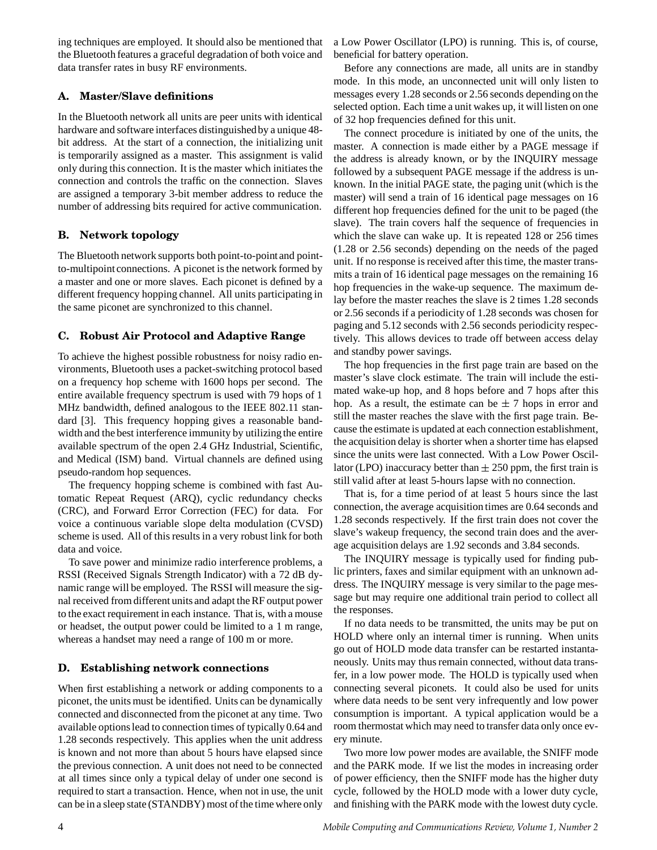ing techniques are employed. It should also be mentioned that the Bluetooth features a graceful degradation of both voice and data transfer rates in busy RF environments.

#### **A. Master/Slave definitions**

In the Bluetooth network all units are peer units with identical hardware and software interfaces distinguished by a unique 48bit address. At the start of a connection, the initializing unit is temporarily assigned as a master. This assignment is valid only during this connection. It is the master which initiates the connection and controls the traffic on the connection. Slaves are assigned a temporary 3-bit member address to reduce the number of addressing bits required for active communication.

#### **B. Network topology**

The Bluetooth network supports both point-to-point and pointto-multipoint connections. A piconet is the network formed by a master and one or more slaves. Each piconet is defined by a different frequency hopping channel. All units participating in the same piconet are synchronized to this channel.

### **C. Robust Air Protocol and Adaptive Range**

To achieve the highest possible robustness for noisy radio environments, Bluetooth uses a packet-switching protocol based on a frequency hop scheme with 1600 hops per second. The entire available frequency spectrum is used with 79 hops of 1 MHz bandwidth, defined analogous to the IEEE 802.11 standard [3]. This frequency hopping gives a reasonable bandwidth and the best interference immunity by utilizing the entire available spectrum of the open 2.4 GHz Industrial, Scientific, and Medical (ISM) band. Virtual channels are defined using pseudo-random hop sequences.

The frequency hopping scheme is combined with fast Automatic Repeat Request (ARQ), cyclic redundancy checks (CRC), and Forward Error Correction (FEC) for data. For voice a continuous variable slope delta modulation (CVSD) scheme is used. All of this results in a very robust link for both data and voice.

To save power and minimize radio interference problems, a RSSI (Received Signals Strength Indicator) with a 72 dB dynamic range will be employed. The RSSI will measure the signal received from different units and adapt the RF output power to the exact requirement in each instance. That is, with a mouse or headset, the output power could be limited to a 1 m range, whereas a handset may need a range of 100 m or more.

### **D. Establishing network connections**

When first establishing a network or adding components to a piconet, the units must be identified. Units can be dynamically connected and disconnected from the piconet at any time. Two available optionslead to connection times of typically 0.64 and 1.28 seconds respectively. This applies when the unit address is known and not more than about 5 hours have elapsed since the previous connection. A unit does not need to be connected at all times since only a typical delay of under one second is required to start a transaction. Hence, when not in use, the unit can be in a sleep state (STANDBY) most of the time where only

a Low Power Oscillator (LPO) is running. This is, of course, beneficial for battery operation.

Before any connections are made, all units are in standby mode. In this mode, an unconnected unit will only listen to messages every 1.28 seconds or 2.56 seconds depending on the selected option. Each time a unit wakes up, it will listen on one of 32 hop frequencies defined for this unit.

The connect procedure is initiated by one of the units, the master. A connection is made either by a PAGE message if the address is already known, or by the INQUIRY message followed by a subsequent PAGE message if the address is unknown. In the initial PAGE state, the paging unit (which is the master) will send a train of 16 identical page messages on 16 different hop frequencies defined for the unit to be paged (the slave). The train covers half the sequence of frequencies in which the slave can wake up. It is repeated 128 or 256 times (1.28 or 2.56 seconds) depending on the needs of the paged unit. If no response is received after this time, the master transmits a train of 16 identical page messages on the remaining 16 hop frequencies in the wake-up sequence. The maximum delay before the master reaches the slave is 2 times 1.28 seconds or 2.56 seconds if a periodicity of 1.28 seconds was chosen for paging and 5.12 seconds with 2.56 seconds periodicity respectively. This allows devices to trade off between access delay and standby power savings.

The hop frequencies in the first page train are based on the master's slave clock estimate. The train will include the estimated wake-up hop, and 8 hops before and 7 hops after this hop. As a result, the estimate can be  $\pm$  7 hops in error and still the master reaches the slave with the first page train. Because the estimate is updated at each connection establishment, the acquisition delay is shorter when a shorter time has elapsed since the units were last connected. With a Low Power Oscillator (LPO) inaccuracy better than  $\pm 250$  ppm, the first train is still valid after at least 5-hours lapse with no connection.

That is, for a time period of at least 5 hours since the last connection, the average acquisition times are 0.64 seconds and 1.28 seconds respectively. If the first train does not cover the slave's wakeup frequency, the second train does and the average acquisition delays are 1.92 seconds and 3.84 seconds.

The INQUIRY message is typically used for finding public printers, faxes and similar equipment with an unknown address. The INQUIRY message is very similar to the page message but may require one additional train period to collect all the responses.

If no data needs to be transmitted, the units may be put on HOLD where only an internal timer is running. When units go out of HOLD mode data transfer can be restarted instantaneously. Units may thus remain connected, without data transfer, in a low power mode. The HOLD is typically used when connecting several piconets. It could also be used for units where data needs to be sent very infrequently and low power consumption is important. A typical application would be a room thermostat which may need to transfer data only once every minute.

Two more low power modes are available, the SNIFF mode and the PARK mode. If we list the modes in increasing order of power efficiency, then the SNIFF mode has the higher duty cycle, followed by the HOLD mode with a lower duty cycle, and finishing with the PARK mode with the lowest duty cycle.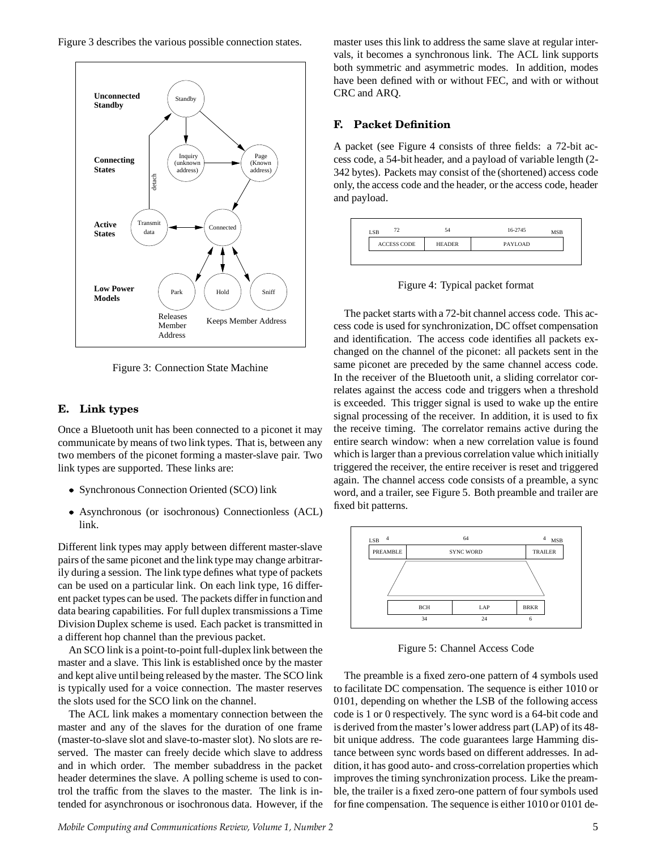Figure 3 describes the various possible connection states.



Figure 3: Connection State Machine

#### **E. Link types**

Once a Bluetooth unit has been connected to a piconet it may communicate by means of two link types. That is, between any two members of the piconet forming a master-slave pair. Two link types are supported. These links are:

- Synchronous Connection Oriented (SCO) link
- Asynchronous (or isochronous) Connectionless (ACL) link.

Different link types may apply between different master-slave pairs of the same piconet and the link type may change arbitrarily during a session. The link type defines what type of packets can be used on a particular link. On each link type, 16 different packet types can be used. The packets differ in function and data bearing capabilities. For full duplex transmissions a Time Division Duplex scheme is used. Each packet is transmitted in a different hop channel than the previous packet.

An SCO link is a point-to-point full-duplex link between the master and a slave. This link is established once by the master and kept alive until being released by the master. The SCO link is typically used for a voice connection. The master reserves the slots used for the SCO link on the channel.

The ACL link makes a momentary connection between the master and any of the slaves for the duration of one frame (master-to-slave slot and slave-to-master slot). No slots are reserved. The master can freely decide which slave to address and in which order. The member subaddress in the packet header determines the slave. A polling scheme is used to control the traffic from the slaves to the master. The link is intended for asynchronous or isochronous data. However, if the

*Mobile Computing and Communications Review, Volume 1, Number 2* 5

master uses this link to address the same slave at regular intervals, it becomes a synchronous link. The ACL link supports both symmetric and asymmetric modes. In addition, modes have been defined with or without FEC, and with or without CRC and ARQ.

#### **F. Packet Definition**

A packet (see Figure 4 consists of three fields: a 72-bit access code, a 54-bit header, and a payload of variable length (2- 342 bytes). Packets may consist of the (shortened) access code only, the access code and the header, or the access code, header and payload.

| 72<br><b>LSB</b>   | 54            | 16-2745<br><b>MSB</b> |
|--------------------|---------------|-----------------------|
| <b>ACCESS CODE</b> | <b>HEADER</b> | PAYLOAD               |

Figure 4: Typical packet format

The packet starts with a 72-bit channel access code. This access code is used for synchronization, DC offset compensation and identification. The access code identifies all packets exchanged on the channel of the piconet: all packets sent in the same piconet are preceded by the same channel access code. In the receiver of the Bluetooth unit, a sliding correlator correlates against the access code and triggers when a threshold is exceeded. This trigger signal is used to wake up the entire signal processing of the receiver. In addition, it is used to fix the receive timing. The correlator remains active during the entire search window: when a new correlation value is found which is larger than a previous correlation value which initially triggered the receiver, the entire receiver is reset and triggered again. The channel access code consists of a preamble, a sync word, and a trailer, see Figure 5. Both preamble and trailer are fixed bit patterns.



Figure 5: Channel Access Code

The preamble is a fixed zero-one pattern of 4 symbols used to facilitate DC compensation. The sequence is either 1010 or 0101, depending on whether the LSB of the following access code is 1 or 0 respectively. The sync word is a 64-bit code and is derived from the master's lower address part (LAP) of its 48 bit unique address. The code guarantees large Hamming distance between sync words based on different addresses. In addition, it has good auto- and cross-correlation properties which improves the timing synchronization process. Like the preamble, the trailer is a fixed zero-one pattern of four symbols used for fine compensation. The sequence is either 1010 or 0101 de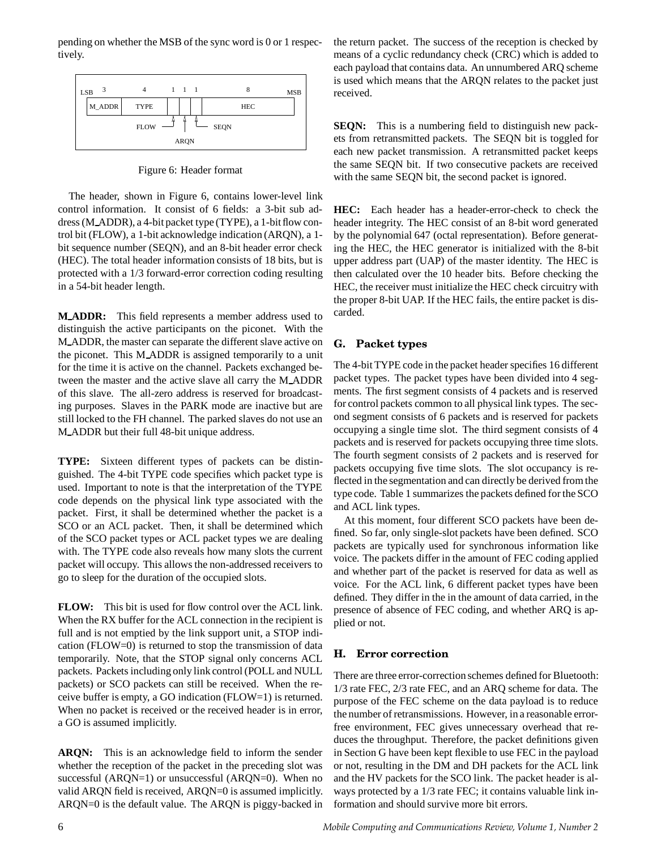pending on whether the MSB of the sync word is 0 or 1 respectively.



Figure 6: Header format

The header, shown in Figure 6, contains lower-level link control information. It consist of 6 fields: a 3-bit sub address (M ADDR), a 4-bit packet type (TYPE), a 1-bitflow control bit (FLOW), a 1-bit acknowledge indication (ARQN), a 1 bit sequence number (SEQN), and an 8-bit header error check (HEC). The total header information consists of 18 bits, but is protected with a 1/3 forward-error correction coding resulting in a 54-bit header length.

**M ADDR:** This field represents a member address used to distinguish the active participants on the piconet. With the M ADDR, the master can separate the different slave active on the piconet. This M ADDR is assigned temporarily to a unit for the time it is active on the channel. Packets exchanged between the master and the active slave all carry the M ADDR of this slave. The all-zero address is reserved for broadcasting purposes. Slaves in the PARK mode are inactive but are still locked to the FH channel. The parked slaves do not use an M\_ADDR but their full 48-bit unique address.

**TYPE:** Sixteen different types of packets can be distinguished. The 4-bit TYPE code specifies which packet type is used. Important to note is that the interpretation of the TYPE code depends on the physical link type associated with the packet. First, it shall be determined whether the packet is a SCO or an ACL packet. Then, it shall be determined which of the SCO packet types or ACL packet types we are dealing with. The TYPE code also reveals how many slots the current packet will occupy. This allows the non-addressed receivers to go to sleep for the duration of the occupied slots.

**FLOW:** This bit is used for flow control over the ACL link. When the RX buffer for the ACL connection in the recipient is full and is not emptied by the link support unit, a STOP indication (FLOW=0) is returned to stop the transmission of data temporarily. Note, that the STOP signal only concerns ACL packets. Packets including only link control (POLL and NULL packets) or SCO packets can still be received. When the receive buffer is empty, a GO indication (FLOW=1) is returned. When no packet is received or the received header is in error, a GO is assumed implicitly.

**ARQN:** This is an acknowledge field to inform the sender whether the reception of the packet in the preceding slot was successful ( $ARQN=1$ ) or unsuccessful ( $ARQN=0$ ). When no valid ARQN field is received, ARQN=0 is assumed implicitly. ARQN=0 is the default value. The ARQN is piggy-backed in the return packet. The success of the reception is checked by means of a cyclic redundancy check (CRC) which is added to each payload that contains data. An unnumbered ARQ scheme is used which means that the ARQN relates to the packet just received.

**SEQN:** This is a numbering field to distinguish new packets from retransmitted packets. The SEQN bit is toggled for each new packet transmission. A retransmitted packet keeps the same SEQN bit. If two consecutive packets are received with the same SEQN bit, the second packet is ignored.

**HEC:** Each header has a header-error-check to check the header integrity. The HEC consist of an 8-bit word generated by the polynomial 647 (octal representation). Before generating the HEC, the HEC generator is initialized with the 8-bit upper address part (UAP) of the master identity. The HEC is then calculated over the 10 header bits. Before checking the HEC, the receiver must initialize the HEC check circuitry with the proper 8-bit UAP. If the HEC fails, the entire packet is discarded.

## **G. Packet types**

The 4-bit TYPE code in the packet header specifies 16 different packet types. The packet types have been divided into 4 segments. The first segment consists of 4 packets and is reserved for control packets common to all physical link types. The second segment consists of 6 packets and is reserved for packets occupying a single time slot. The third segment consists of 4 packets and is reserved for packets occupying three time slots. The fourth segment consists of 2 packets and is reserved for packets occupying five time slots. The slot occupancy is reflected in the segmentation and can directly be derived from the type code. Table 1 summarizes the packets defined for the SCO and ACL link types.

At this moment, four different SCO packets have been defined. So far, only single-slot packets have been defined. SCO packets are typically used for synchronous information like voice. The packets differ in the amount of FEC coding applied and whether part of the packet is reserved for data as well as voice. For the ACL link, 6 different packet types have been defined. They differ in the in the amount of data carried, in the presence of absence of FEC coding, and whether ARQ is applied or not.

## **H. Error correction**

There are three error-correction schemes defined for Bluetooth: 1/3 rate FEC, 2/3 rate FEC, and an ARQ scheme for data. The purpose of the FEC scheme on the data payload is to reduce the number of retransmissions. However, in a reasonable errorfree environment, FEC gives unnecessary overhead that reduces the throughput. Therefore, the packet definitions given in Section G have been kept flexible to use FEC in the payload or not, resulting in the DM and DH packets for the ACL link and the HV packets for the SCO link. The packet header is always protected by a 1/3 rate FEC; it contains valuable link information and should survive more bit errors.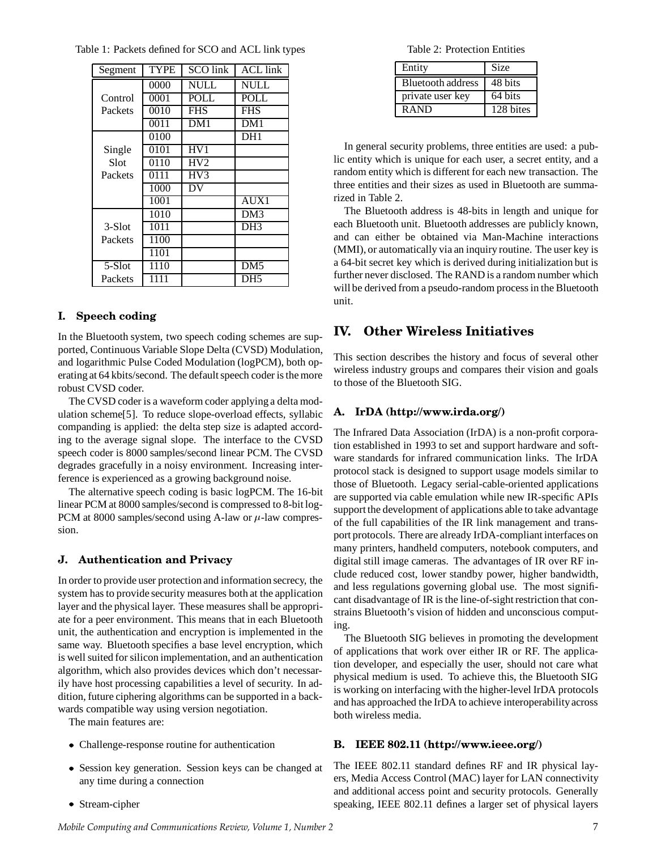| Segment | TYPE | <b>SCO</b> link | <b>ACL</b> link |
|---------|------|-----------------|-----------------|
|         | 0000 | <b>NULL</b>     | <b>NULL</b>     |
| Control | 0001 | <b>POLL</b>     | <b>POLL</b>     |
| Packets | 0010 | <b>FHS</b>      | <b>FHS</b>      |
|         | 0011 | DM1             | DM1             |
|         | 0100 |                 | DH <sub>1</sub> |
| Single  | 0101 | HV1             |                 |
| Slot    | 0110 | HV2             |                 |
| Packets | 0111 | HV3             |                 |
|         | 1000 | DV              |                 |
|         | 1001 |                 | AUX1            |
|         | 1010 |                 | DM3             |
| 3-Slot  | 1011 |                 | DH <sub>3</sub> |
| Packets | 1100 |                 |                 |
|         | 1101 |                 |                 |
| 5-Slot  | 1110 |                 | DM <sub>5</sub> |
| Packets | 1111 |                 | DH5             |

Table 1: Packets defined for SCO and ACL link types

#### **I. Speech coding**

In the Bluetooth system, two speech coding schemes are supported, Continuous Variable Slope Delta (CVSD) Modulation, and logarithmic Pulse Coded Modulation (logPCM), both operating at 64 kbits/second. The default speech coder is the more robust CVSD coder.

The CVSD coder is a waveform coder applying a delta modulation scheme[5]. To reduce slope-overload effects, syllabic companding is applied: the delta step size is adapted according to the average signal slope. The interface to the CVSD speech coder is 8000 samples/second linear PCM. The CVSD degrades gracefully in a noisy environment. Increasing interference is experienced as a growing background noise.

The alternative speech coding is basic logPCM. The 16-bit linear PCM at 8000 samples/second is compressed to 8-bit log-PCM at 8000 samples/second using A-law or  $\mu$ -law compression.

#### **J. Authentication and Privacy**

In order to provide user protection and information secrecy, the system has to provide security measures both at the application layer and the physical layer. These measures shall be appropriate for a peer environment. This means that in each Bluetooth unit, the authentication and encryption is implemented in the same way. Bluetooth specifies a base level encryption, which is well suited for silicon implementation, and an authentication algorithm, which also provides devices which don't necessarily have host processing capabilities a level of security. In addition, future ciphering algorithms can be supported in a backwards compatible way using version negotiation.

The main features are:

- Challenge-response routine for authentication
- Session key generation. Session keys can be changed at any time during a connection
- Stream-cipher

Table 2: Protection Entities

| Entity                   | <b>Size</b> |
|--------------------------|-------------|
| <b>Bluetooth address</b> | 48 bits     |
| private user key         | 64 bits     |
| <b>RAND</b>              | 128 bites   |

In general security problems, three entities are used: a public entity which is unique for each user, a secret entity, and a random entity which is different for each new transaction. The three entities and their sizes as used in Bluetooth are summarized in Table 2.

The Bluetooth address is 48-bits in length and unique for each Bluetooth unit. Bluetooth addresses are publicly known, and can either be obtained via Man-Machine interactions (MMI), or automatically via an inquiry routine. The user key is a 64-bit secret key which is derived during initialization but is further never disclosed. The RAND is a random number which will be derived from a pseudo-random process in the Bluetooth unit.

#### **IV. Other Wireless Initiatives**

This section describes the history and focus of several other wireless industry groups and compares their vision and goals to those of the Bluetooth SIG.

#### **A. IrDA (http://www.irda.org/)**

The Infrared Data Association (IrDA) is a non-profit corporation established in 1993 to set and support hardware and software standards for infrared communication links. The IrDA protocol stack is designed to support usage models similar to those of Bluetooth. Legacy serial-cable-oriented applications are supported via cable emulation while new IR-specific APIs support the development of applications able to take advantage of the full capabilities of the IR link management and transport protocols. There are already IrDA-compliant interfaces on many printers, handheld computers, notebook computers, and digital still image cameras. The advantages of IR over RF include reduced cost, lower standby power, higher bandwidth, and less regulations governing global use. The most significant disadvantage of IR is the line-of-sight restriction that constrains Bluetooth's vision of hidden and unconscious computing.

The Bluetooth SIG believes in promoting the development of applications that work over either IR or RF. The application developer, and especially the user, should not care what physical medium is used. To achieve this, the Bluetooth SIG is working on interfacing with the higher-level IrDA protocols and has approached the IrDA to achieve interoperabilityacross both wireless media.

#### **B. IEEE 802.11 (http://www.ieee.org/)**

The IEEE 802.11 standard defines RF and IR physical layers, Media Access Control (MAC) layer for LAN connectivity and additional access point and security protocols. Generally speaking, IEEE 802.11 defines a larger set of physical layers